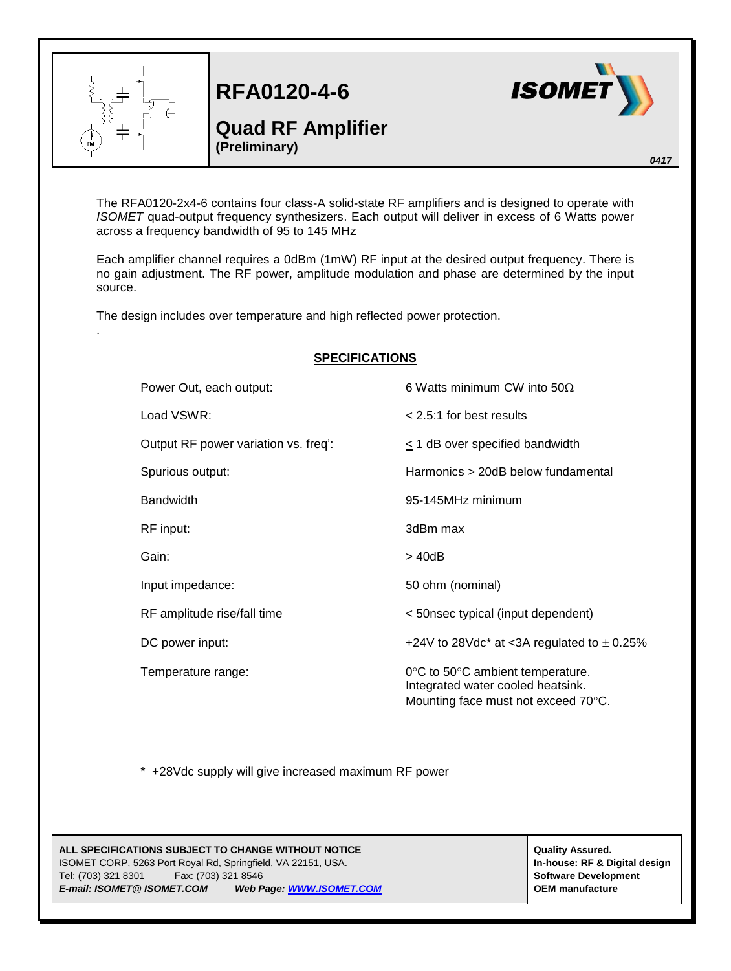

.

**RFA0120-4-6**

## **Quad RF Amplifier (Preliminary)**



*0417*

The RFA0120-2x4-6 contains four class-A solid-state RF amplifiers and is designed to operate with *ISOMET* quad-output frequency synthesizers. Each output will deliver in excess of 6 Watts power across a frequency bandwidth of 95 to 145 MHz

Each amplifier channel requires a 0dBm (1mW) RF input at the desired output frequency. There is no gain adjustment. The RF power, amplitude modulation and phase are determined by the input source.

The design includes over temperature and high reflected power protection.

| <b>SPECIFICATIONS</b> |                                      |                                                                                                                                   |
|-----------------------|--------------------------------------|-----------------------------------------------------------------------------------------------------------------------------------|
|                       | Power Out, each output:              | 6 Watts minimum CW into $50Q$                                                                                                     |
|                       | Load VSWR:                           | $< 2.5:1$ for best results                                                                                                        |
|                       | Output RF power variation vs. freq': | $\leq$ 1 dB over specified bandwidth                                                                                              |
|                       | Spurious output:                     | Harmonics > 20dB below fundamental                                                                                                |
|                       | <b>Bandwidth</b>                     | 95-145MHz minimum                                                                                                                 |
|                       | RF input:                            | 3dBm max                                                                                                                          |
|                       | Gain:                                | $>$ 40dB                                                                                                                          |
|                       | Input impedance:                     | 50 ohm (nominal)                                                                                                                  |
|                       | RF amplitude rise/fall time          | < 50nsec typical (input dependent)                                                                                                |
|                       | DC power input:                      | +24V to 28Vdc* at <3A regulated to $\pm$ 0.25%                                                                                    |
|                       | Temperature range:                   | $0^{\circ}$ C to 50 $^{\circ}$ C ambient temperature.<br>Integrated water cooled heatsink.<br>Mounting face must not exceed 70°C. |

\* +28Vdc supply will give increased maximum RF power

## **ALL SPECIFICATIONS SUBJECT TO CHANGE WITHOUT NOTICE ALL SPECIFICATIONS SUBJECT TO CHANGE WITHOUT NOTICE** ISOMET CORP, 5263 Port Royal Rd, Springfield, VA 22151, USA. **In-house: RF & Digital design** Tel: (703) 321 8301 Fax: (703) 321 8546 **Software Development** *E-mail: ISOMET@ ISOMET.COM Web Page[: WWW.ISOMET.COM](http://www.isomet.com/)* **OEM manufacture**